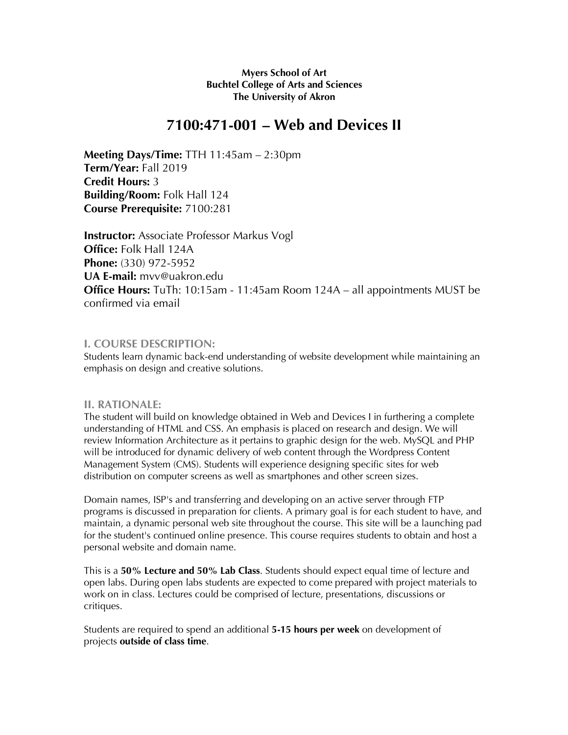### **Myers School of Art Buchtel College of Arts and Sciences The University of Akron**

# **7100:471-001 – Web and Devices II**

**Meeting Days/Time:** TTH 11:45am – 2:30pm **Term/Year:** Fall 2019 **Credit Hours:** 3 **Building/Room:** Folk Hall 124 **Course Prerequisite:** 7100:281

**Instructor:** Associate Professor Markus Vogl **Office:** Folk Hall 124A **Phone:** (330) 972-5952 **UA E-mail:** mvv@uakron.edu **Office Hours:** TuTh: 10:15am - 11:45am Room 124A – all appointments MUST be confirmed via email

## **I. COURSE DESCRIPTION:**

Students learn dynamic back-end understanding of website development while maintaining an emphasis on design and creative solutions.

### **II. RATIONALE:**

The student will build on knowledge obtained in Web and Devices I in furthering a complete understanding of HTML and CSS. An emphasis is placed on research and design. We will review Information Architecture as it pertains to graphic design for the web. MySQL and PHP will be introduced for dynamic delivery of web content through the Wordpress Content Management System (CMS). Students will experience designing specific sites for web distribution on computer screens as well as smartphones and other screen sizes.

Domain names, ISP's and transferring and developing on an active server through FTP programs is discussed in preparation for clients. A primary goal is for each student to have, and maintain, a dynamic personal web site throughout the course. This site will be a launching pad for the student's continued online presence. This course requires students to obtain and host a personal website and domain name.

This is a **50% Lecture and 50% Lab Class**. Students should expect equal time of lecture and open labs. During open labs students are expected to come prepared with project materials to work on in class. Lectures could be comprised of lecture, presentations, discussions or critiques.

Students are required to spend an additional **5-15 hours per week** on development of projects **outside of class time**.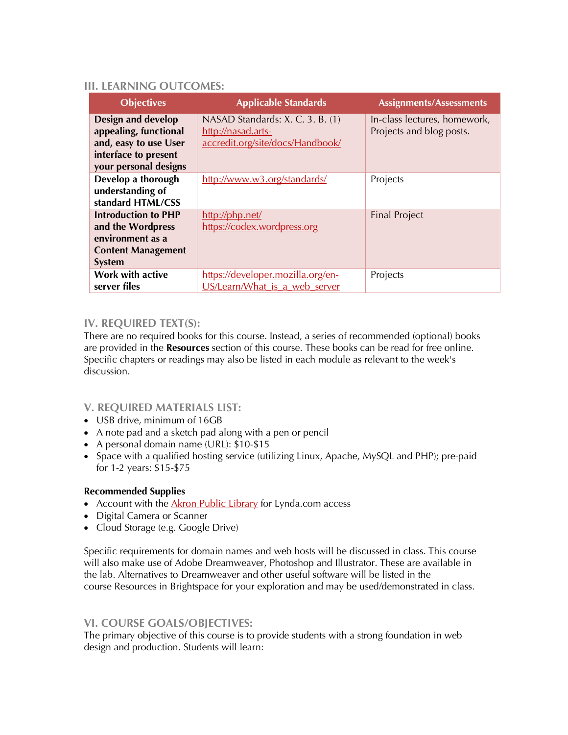## **III. LEARNING OUTCOMES:**

| <b>Objectives</b>                                                                                                     | <b>Applicable Standards</b>                                                                | <b>Assignments/Assessments</b>                           |
|-----------------------------------------------------------------------------------------------------------------------|--------------------------------------------------------------------------------------------|----------------------------------------------------------|
| Design and develop<br>appealing, functional<br>and, easy to use User<br>interface to present<br>your personal designs | NASAD Standards: X. C. 3. B. (1)<br>http://nasad.arts-<br>accredit.org/site/docs/Handbook/ | In-class lectures, homework,<br>Projects and blog posts. |
| Develop a thorough<br>understanding of<br>standard HTML/CSS                                                           | http://www.w3.org/standards/                                                               | Projects                                                 |
| <b>Introduction to PHP</b><br>and the Wordpress<br>environment as a<br><b>Content Management</b><br><b>System</b>     | http://php.net/<br>https://codex.wordpress.org                                             | <b>Final Project</b>                                     |
| <b>Work with active</b><br>server files                                                                               | https://developer.mozilla.org/en-<br>US/Learn/What is a web server                         | Projects                                                 |

## **IV. REQUIRED TEXT(S):**

There are no required books for this course. Instead, a series of recommended (optional) books are provided in the **Resources** section of this course. These books can be read for free online. Specific chapters or readings may also be listed in each module as relevant to the week's discussion.

## **V. REQUIRED MATERIALS LIST:**

- USB drive, minimum of 16GB
- A note pad and a sketch pad along with a pen or pencil
- A personal domain name (URL): \$10-\$15
- Space with a qualified hosting service (utilizing Linux, Apache, MySQL and PHP); pre-paid for 1-2 years: \$15-\$75

## **Recommended Supplies**

- Account with the **Akron Public Library** for Lynda.com access
- Digital Camera or Scanner
- Cloud Storage (e.g. Google Drive)

Specific requirements for domain names and web hosts will be discussed in class. This course will also make use of Adobe Dreamweaver, Photoshop and Illustrator. These are available in the lab. Alternatives to Dreamweaver and other useful software will be listed in the course Resources in Brightspace for your exploration and may be used/demonstrated in class.

# **VI. COURSE GOALS/OBJECTIVES:**

The primary objective of this course is to provide students with a strong foundation in web design and production. Students will learn: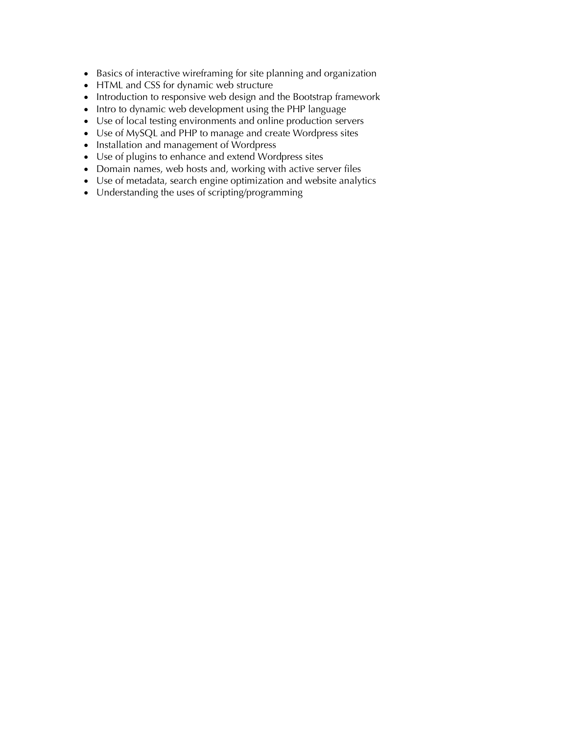- Basics of interactive wireframing for site planning and organization
- HTML and CSS for dynamic web structure
- Introduction to responsive web design and the Bootstrap framework
- Intro to dynamic web development using the PHP language
- Use of local testing environments and online production servers
- Use of MySQL and PHP to manage and create Wordpress sites
- Installation and management of Wordpress
- Use of plugins to enhance and extend Wordpress sites
- Domain names, web hosts and, working with active server files
- Use of metadata, search engine optimization and website analytics
- Understanding the uses of scripting/programming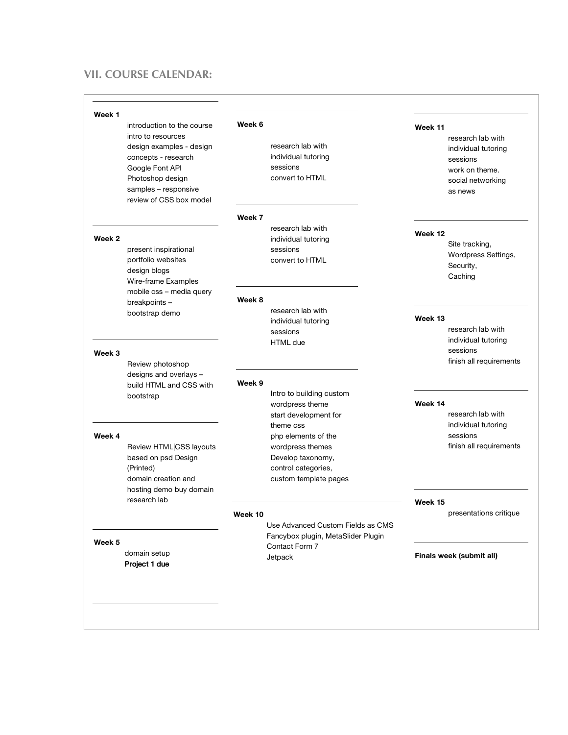## **VII. COURSE CALENDAR:**

#### **Week 1**

introduction to the course intro to resources design examples - design concepts - research Google Font API Photoshop design samples – responsive review of CSS box model

#### **Week 2**

present inspirational portfolio websites design blogs Wire-frame Examples mobile css – media query breakpoints – bootstrap demo

#### **Week 3**

Review photoshop designs and overlays – build HTML and CSS with bootstrap

#### **Week 4**

Review HTML|CSS layouts based on psd Design (Printed) domain creation and hosting demo buy domain research lab

#### **Week 5**

 domain setup Project 1 due

#### **Week 6**

research lab with individual tutoring sessions convert to HTML

#### **Week 7**

research lab with individual tutoring sessions convert to HTML

#### **Week 8**

research lab with individual tutoring sessions HTML due

#### **Week 9**

Intro to building custom wordpress theme start development for theme css php elements of the wordpress themes Develop taxonomy, control categories, custom template pages

#### **Week 10**

Use Advanced Custom Fields as CMS Fancybox plugin, MetaSlider Plugin Contact Form 7 Jetpack

### **Week 11**

research lab with individual tutoring sessions work on theme. social networking as news

#### **Week 12**

Site tracking, Wordpress Settings, Security, **Caching** 

#### **Week 13**

research lab with individual tutoring sessions finish all requirements

#### **Week 14**

research lab with individual tutoring sessions finish all requirements

#### **Week 15**

presentations critique

#### **Finals week (submit all)**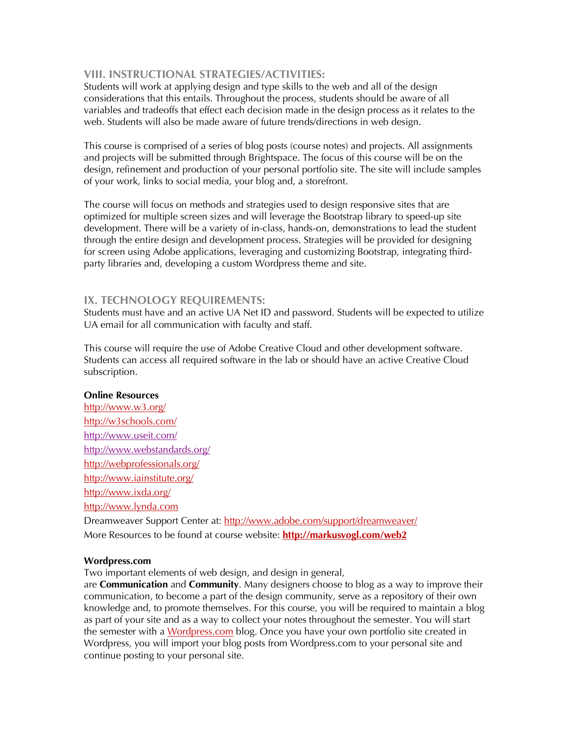## **VIII. INSTRUCTIONAL STRATEGIES/ACTIVITIES:**

Students will work at applying design and type skills to the web and all of the design considerations that this entails. Throughout the process, students should be aware of all variables and tradeoffs that effect each decision made in the design process as it relates to the web. Students will also be made aware of future trends/directions in web design.

This course is comprised of a series of blog posts (course notes) and projects. All assignments and projects will be submitted through Brightspace. The focus of this course will be on the design, refinement and production of your personal portfolio site. The site will include samples of your work, links to social media, your blog and, a storefront.

The course will focus on methods and strategies used to design responsive sites that are optimized for multiple screen sizes and will leverage the Bootstrap library to speed-up site development. There will be a variety of in-class, hands-on, demonstrations to lead the student through the entire design and development process. Strategies will be provided for designing for screen using Adobe applications, leveraging and customizing Bootstrap, integrating thirdparty libraries and, developing a custom Wordpress theme and site.

## **IX. TECHNOLOGY REQUIREMENTS:**

Students must have and an active UA Net ID and password. Students will be expected to utilize UA email for all communication with faculty and staff.

This course will require the use of Adobe Creative Cloud and other development software. Students can access all required software in the lab or should have an active Creative Cloud subscription.

### **Online Resources**

http://www.w3.org/ http://w3schools.com/ http://www.useit.com/ http://www.webstandards.org/ http://webprofessionals.org/ http://www.iainstitute.org/ http://www.ixda.org/ http://www.lynda.com

Dreamweaver Support Center at: http://www.adobe.com/support/dreamweaver/ More Resources to be found at course website: **http://markusvogl.com/web2**

### **Wordpress.com**

Two important elements of web design, and design in general,

are **Communication** and **Community**. Many designers choose to blog as a way to improve their communication, to become a part of the design community, serve as a repository of their own knowledge and, to promote themselves. For this course, you will be required to maintain a blog as part of your site and as a way to collect your notes throughout the semester. You will start the semester with a Wordpress.com blog. Once you have your own portfolio site created in Wordpress, you will import your blog posts from Wordpress.com to your personal site and continue posting to your personal site.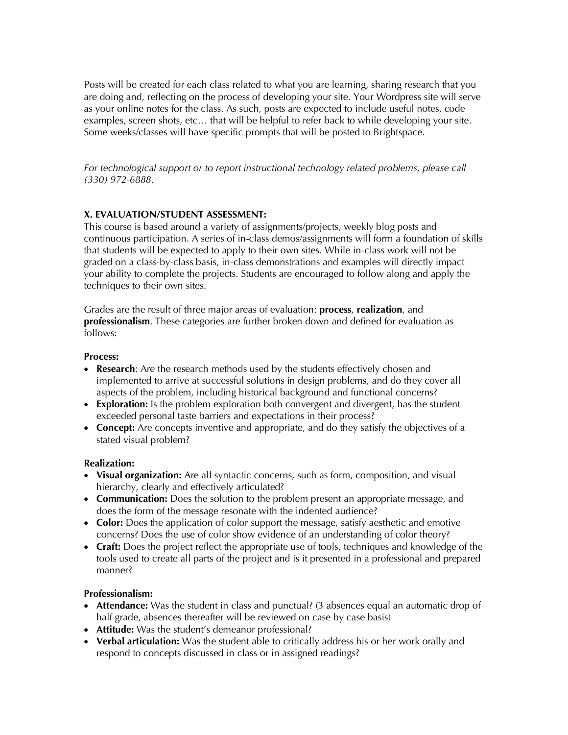Posts will be created for each class related to what you are learning, sharing research that you are doing and, reflecting on the process of developing your site. Your Wordpress site will serve as your online notes for the class. As such, posts are expected to include useful notes, code examples, screen shots, etc… that will be helpful to refer back to while developing your site. Some weeks/classes will have specific prompts that will be posted to Brightspace.

*For technological support or to report instructional technology related problems, please call (330) 972-6888.*

## **X. EVALUATION/STUDENT ASSESSMENT:**

This course is based around a variety of assignments/projects, weekly blog posts and continuous participation. A series of in-class demos/assignments will form a foundation of skills that students will be expected to apply to their own sites. While in-class work will not be graded on a class-by-class basis, in-class demonstrations and examples will directly impact your ability to complete the projects. Students are encouraged to follow along and apply the techniques to their own sites.

Grades are the result of three major areas of evaluation: **process**, **realization**, and **professionalism**. These categories are further broken down and defined for evaluation as follows:

### **Process:**

- **Research**: Are the research methods used by the students effectively chosen and implemented to arrive at successful solutions in design problems, and do they cover all aspects of the problem, including historical background and functional concerns?
- **Exploration:** Is the problem exploration both convergent and divergent, has the student exceeded personal taste barriers and expectations in their process?
- **Concept:** Are concepts inventive and appropriate, and do they satisfy the objectives of a stated visual problem?

### **Realization:**

- **Visual organization:** Are all syntactic concerns, such as form, composition, and visual hierarchy, clearly and effectively articulated?
- **Communication:** Does the solution to the problem present an appropriate message, and does the form of the message resonate with the indented audience?
- **Color:** Does the application of color support the message, satisfy aesthetic and emotive concerns? Does the use of color show evidence of an understanding of color theory?
- **Craft:** Does the project reflect the appropriate use of tools, techniques and knowledge of the tools used to create all parts of the project and is it presented in a professional and prepared manner?

### **Professionalism:**

- **Attendance:** Was the student in class and punctual? (3 absences equal an automatic drop of half grade, absences thereafter will be reviewed on case by case basis)
- **Attitude:** Was the student's demeanor professional?
- **Verbal articulation:** Was the student able to critically address his or her work orally and respond to concepts discussed in class or in assigned readings?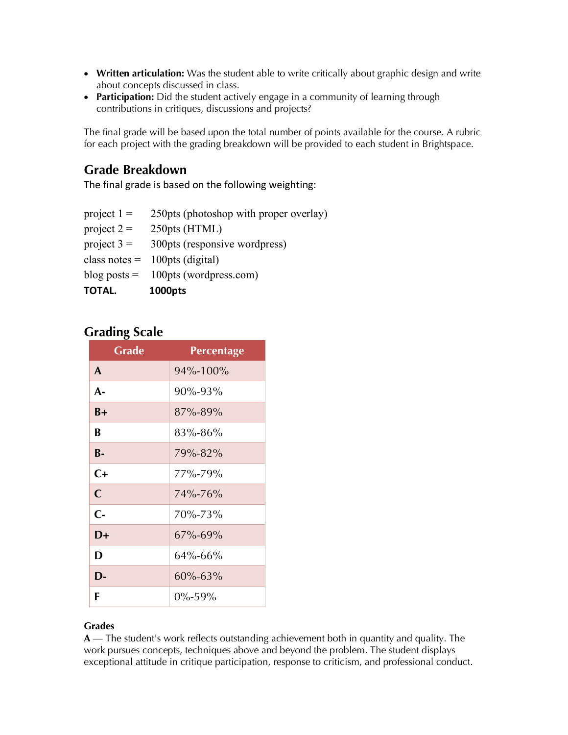- **Written articulation:** Was the student able to write critically about graphic design and write about concepts discussed in class.
- **Participation:** Did the student actively engage in a community of learning through contributions in critiques, discussions and projects?

The final grade will be based upon the total number of points available for the course. A rubric for each project with the grading breakdown will be provided to each student in Brightspace.

# **Grade Breakdown**

The final grade is based on the following weighting:

- project  $1 = 250$ pts (photoshop with proper overlay)
- project  $2 = 250 \text{pts (HTML)}$
- project  $3 = 300 \text{pts}$  (responsive wordpress)
- class notes  $= 100 \text{pts (digital)}$
- blog posts  $= 100$ pts (wordpress.com)
- **TOTAL. 1000pts**

# **Grading Scale**

| <b>Grade</b> | <b>Percentage</b> |
|--------------|-------------------|
| A            | 94%-100%          |
| $A -$        | 90%-93%           |
| $B+$         | 87%-89%           |
| B            | $83\% - 86\%$     |
| <b>B-</b>    | 79%-82%           |
| $C+$         | $77\% - 79\%$     |
| $\mathsf{C}$ | $74\% - 76\%$     |
| $C -$        | 70%-73%           |
| $D+$         | $67\% - 69\%$     |
| D            | 64%-66%           |
| D-           | $60\% - 63\%$     |
| F            | $0\% - 59\%$      |

## **Grades**

**A** — The student's work reflects outstanding achievement both in quantity and quality. The work pursues concepts, techniques above and beyond the problem. The student displays exceptional attitude in critique participation, response to criticism, and professional conduct.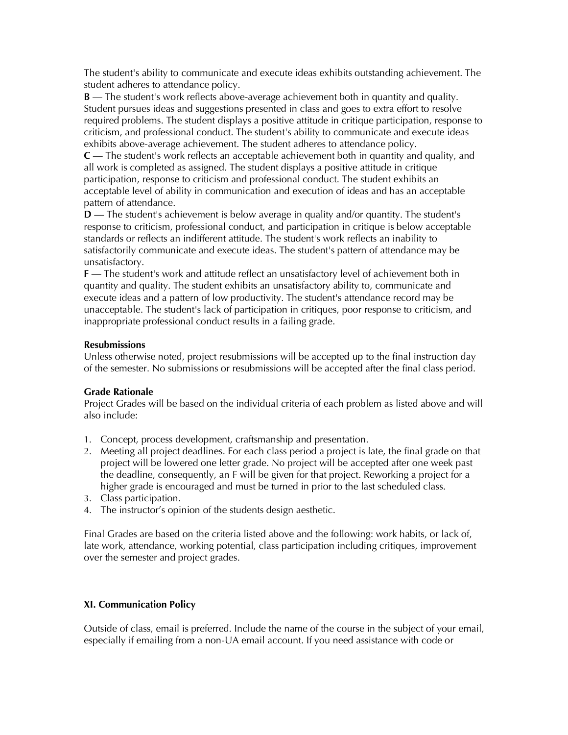The student's ability to communicate and execute ideas exhibits outstanding achievement. The student adheres to attendance policy.

**B** — The student's work reflects above-average achievement both in quantity and quality. Student pursues ideas and suggestions presented in class and goes to extra effort to resolve required problems. The student displays a positive attitude in critique participation, response to criticism, and professional conduct. The student's ability to communicate and execute ideas exhibits above-average achievement. The student adheres to attendance policy.

**C** — The student's work reflects an acceptable achievement both in quantity and quality, and all work is completed as assigned. The student displays a positive attitude in critique participation, response to criticism and professional conduct. The student exhibits an acceptable level of ability in communication and execution of ideas and has an acceptable pattern of attendance.

**D** — The student's achievement is below average in quality and/or quantity. The student's response to criticism, professional conduct, and participation in critique is below acceptable standards or reflects an indifferent attitude. The student's work reflects an inability to satisfactorily communicate and execute ideas. The student's pattern of attendance may be unsatisfactory.

**F** — The student's work and attitude reflect an unsatisfactory level of achievement both in quantity and quality. The student exhibits an unsatisfactory ability to, communicate and execute ideas and a pattern of low productivity. The student's attendance record may be unacceptable. The student's lack of participation in critiques, poor response to criticism, and inappropriate professional conduct results in a failing grade.

## **Resubmissions**

Unless otherwise noted, project resubmissions will be accepted up to the final instruction day of the semester. No submissions or resubmissions will be accepted after the final class period.

## **Grade Rationale**

Project Grades will be based on the individual criteria of each problem as listed above and will also include:

- 1. Concept, process development, craftsmanship and presentation.
- 2. Meeting all project deadlines. For each class period a project is late, the final grade on that project will be lowered one letter grade. No project will be accepted after one week past the deadline, consequently, an F will be given for that project. Reworking a project for a higher grade is encouraged and must be turned in prior to the last scheduled class.
- 3. Class participation.
- 4. The instructor's opinion of the students design aesthetic.

Final Grades are based on the criteria listed above and the following: work habits, or lack of, late work, attendance, working potential, class participation including critiques, improvement over the semester and project grades.

### **XI. Communication Policy**

Outside of class, email is preferred. Include the name of the course in the subject of your email, especially if emailing from a non-UA email account. If you need assistance with code or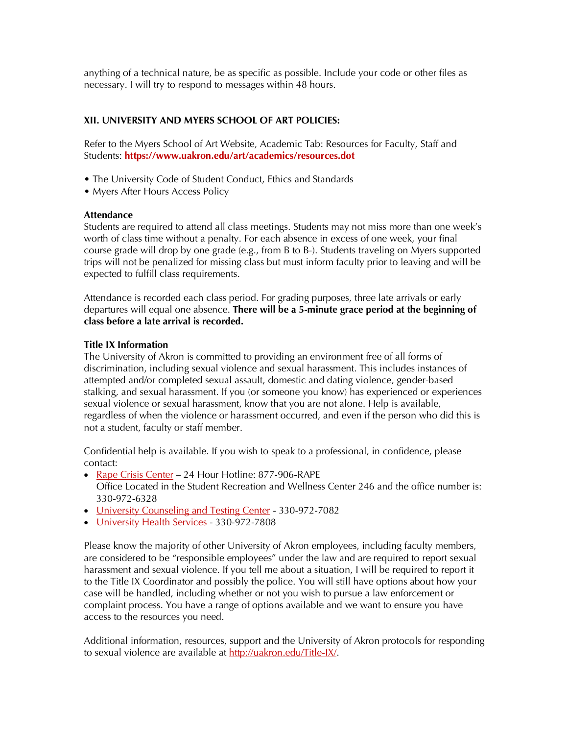anything of a technical nature, be as specific as possible. Include your code or other files as necessary. I will try to respond to messages within 48 hours.

## **XII. UNIVERSITY AND MYERS SCHOOL OF ART POLICIES:**

Refer to the Myers School of Art Website, Academic Tab: Resources for Faculty, Staff and Students: **https://www.uakron.edu/art/academics/resources.dot**

- The University Code of Student Conduct, Ethics and Standards
- Myers After Hours Access Policy

### **Attendance**

Students are required to attend all class meetings. Students may not miss more than one week's worth of class time without a penalty. For each absence in excess of one week, your final course grade will drop by one grade (e.g., from B to B-). Students traveling on Myers supported trips will not be penalized for missing class but must inform faculty prior to leaving and will be expected to fulfill class requirements.

Attendance is recorded each class period. For grading purposes, three late arrivals or early departures will equal one absence. **There will be a 5-minute grace period at the beginning of class before a late arrival is recorded.**

## **Title IX Information**

The University of Akron is committed to providing an environment free of all forms of discrimination, including sexual violence and sexual harassment. This includes instances of attempted and/or completed sexual assault, domestic and dating violence, gender-based stalking, and sexual harassment. If you (or someone you know) has experienced or experiences sexual violence or sexual harassment, know that you are not alone. Help is available, regardless of when the violence or harassment occurred, and even if the person who did this is not a student, faculty or staff member.

Confidential help is available. If you wish to speak to a professional, in confidence, please contact:

- Rape Crisis Center 24 Hour Hotline: 877-906-RAPE Office Located in the Student Recreation and Wellness Center 246 and the office number is: 330-972-6328
- University Counseling and Testing Center 330-972-7082
- University Health Services 330-972-7808

Please know the majority of other University of Akron employees, including faculty members, are considered to be "responsible employees" under the law and are required to report sexual harassment and sexual violence. If you tell me about a situation, I will be required to report it to the Title IX Coordinator and possibly the police. You will still have options about how your case will be handled, including whether or not you wish to pursue a law enforcement or complaint process. You have a range of options available and we want to ensure you have access to the resources you need.

Additional information, resources, support and the University of Akron protocols for responding to sexual violence are available at http://uakron.edu/Title-IX/.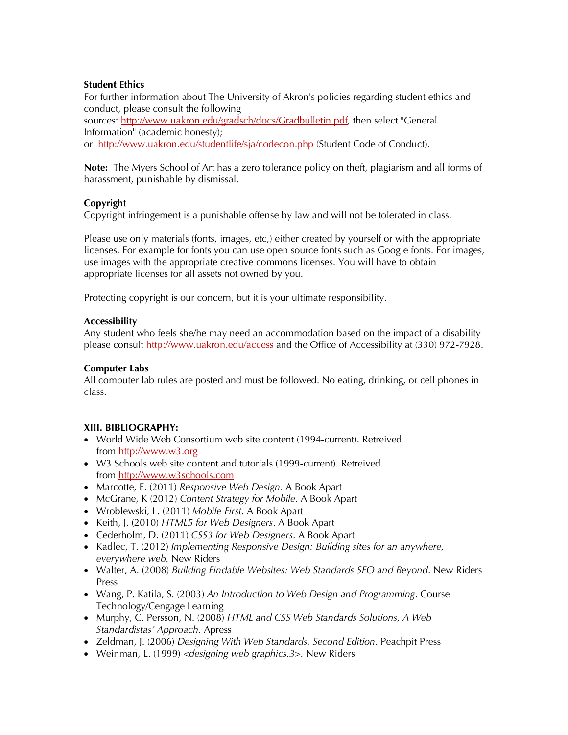## **Student Ethics**

For further information about The University of Akron's policies regarding student ethics and conduct, please consult the following sources: http://www.uakron.edu/gradsch/docs/Gradbulletin.pdf, then select "General Information" (academic honesty); or http://www.uakron.edu/studentlife/sja/codecon.php (Student Code of Conduct).

**Note:** The Myers School of Art has a zero tolerance policy on theft, plagiarism and all forms of harassment, punishable by dismissal.

## **Copyright**

Copyright infringement is a punishable offense by law and will not be tolerated in class.

Please use only materials (fonts, images, etc,) either created by yourself or with the appropriate licenses. For example for fonts you can use open source fonts such as Google fonts. For images, use images with the appropriate creative commons licenses. You will have to obtain appropriate licenses for all assets not owned by you.

Protecting copyright is our concern, but it is your ultimate responsibility.

## **Accessibility**

Any student who feels she/he may need an accommodation based on the impact of a disability please consult http://www.uakron.edu/access and the Office of Accessibility at (330) 972-7928.

### **Computer Labs**

All computer lab rules are posted and must be followed. No eating, drinking, or cell phones in class.

## **XIII. BIBLIOGRAPHY:**

- World Wide Web Consortium web site content (1994-current). Retreived from http://www.w3.org
- W3 Schools web site content and tutorials (1999-current). Retreived from http://www.w3schools.com
- Marcotte, E. (2011) *Responsive Web Design.* A Book Apart
- McGrane, K (2012) *Content Strategy for Mobile*. A Book Apart
- Wroblewski, L. (2011) *Mobile First*. A Book Apart
- Keith, J. (2010) *HTML5 for Web Designers*. A Book Apart
- Cederholm, D. (2011) *CSS3 for Web Designers*. A Book Apart
- Kadlec, T. (2012) *Implementing Responsive Design: Building sites for an anywhere, everywhere web.* New Riders
- Walter, A. (2008) *Building Findable Websites: Web Standards SEO and Beyond*. New Riders Press
- Wang, P. Katila, S. (2003) *An Introduction to Web Design and Programming*. Course Technology/Cengage Learning
- Murphy, C. Persson, N. (2008) *HTML and CSS Web Standards Solutions, A Web Standardistas' Approach.* Apress
- Zeldman, J. (2006) *Designing With Web Standards, Second Edition*. Peachpit Press
- Weinman, L. (1999) *<designing web graphics.3>.* New Riders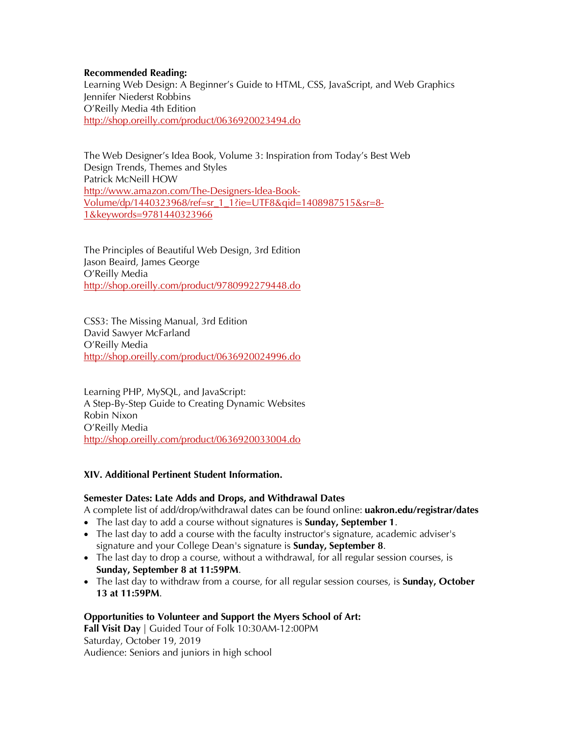### **Recommended Reading:**

Learning Web Design: A Beginner's Guide to HTML, CSS, JavaScript, and Web Graphics Jennifer Niederst Robbins O'Reilly Media 4th Edition http://shop.oreilly.com/product/0636920023494.do

The Web Designer's Idea Book, Volume 3: Inspiration from Today's Best Web Design Trends, Themes and Styles Patrick McNeill HOW http://www.amazon.com/The-Designers-Idea-Book-Volume/dp/1440323968/ref=sr\_1\_1?ie=UTF8&qid=1408987515&sr=8- 1&keywords=9781440323966

The Principles of Beautiful Web Design, 3rd Edition Jason Beaird, James George O'Reilly Media http://shop.oreilly.com/product/9780992279448.do

CSS3: The Missing Manual, 3rd Edition David Sawyer McFarland O'Reilly Media http://shop.oreilly.com/product/0636920024996.do

Learning PHP, MySQL, and JavaScript: A Step-By-Step Guide to Creating Dynamic Websites Robin Nixon O'Reilly Media http://shop.oreilly.com/product/0636920033004.do

### **XIV. Additional Pertinent Student Information.**

### **Semester Dates: Late Adds and Drops, and Withdrawal Dates**

A complete list of add/drop/withdrawal dates can be found online: **uakron.edu/registrar/dates**

- The last day to add a course without signatures is **Sunday, September 1**.
- The last day to add a course with the faculty instructor's signature, academic adviser's signature and your College Dean's signature is **Sunday, September 8**.
- The last day to drop a course, without a withdrawal, for all regular session courses, is **Sunday, September 8 at 11:59PM**.
- The last day to withdraw from a course, for all regular session courses, is **Sunday, October 13 at 11:59PM**.

### **Opportunities to Volunteer and Support the Myers School of Art:**

**Fall Visit Day** | Guided Tour of Folk 10:30AM-12:00PM Saturday, October 19, 2019 Audience: Seniors and juniors in high school